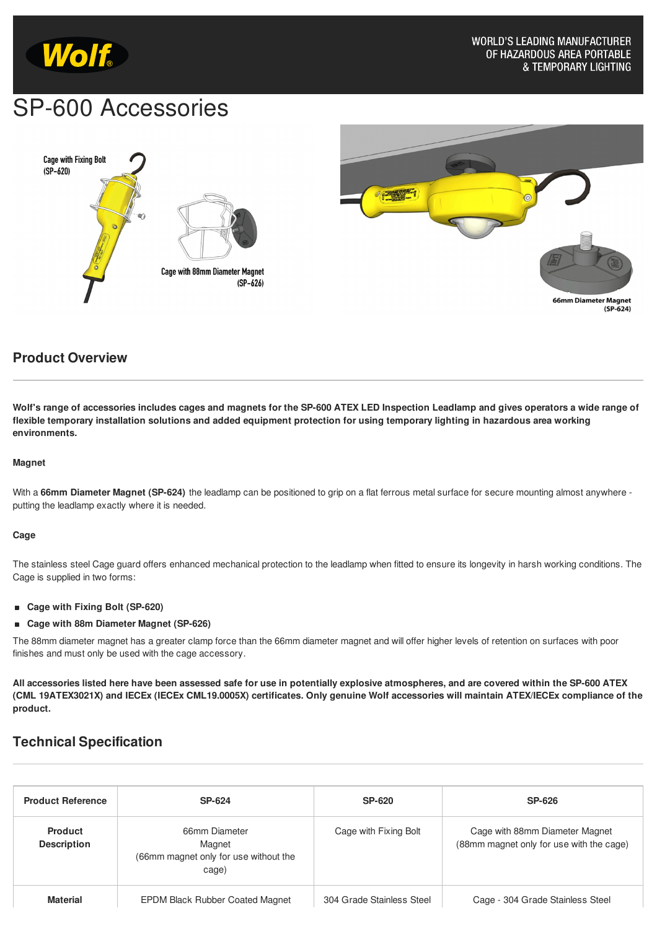

# SP-600 Accessories





## **Product Overview**

Wolf's range of accessories includes cages and magnets for the SP-600 ATEX LED Inspection Leadlamp and gives operators a wide range of flexible temporary installation solutions and added equipment protection for using temporary lighting in hazardous area working **environments.**

### **Magnet**

With a **66mm Diameter Magnet (SP-624)** the leadlamp can be positioned to grip on a flat ferrous metal surface for secure mounting almost anywhere putting the leadlamp exactly where it is needed.

#### **Cage**

The stainless steel Cage guard offers enhanced mechanical protection to the leadlamp when fitted to ensure its longevity in harsh working conditions. The Cage is supplied in two forms:

- **Cage with Fixing Bolt (SP-620)**
- **Cage with 88m Diameter Magnet (SP-626)**  $\blacksquare$

The 88mm diameter magnet has a greater clamp force than the 66mm diameter magnet and will offer higher levels of retention on surfaces with poor finishes and must only be used with the cage accessory.

All accessories listed here have been assessed safe for use in potentially explosive atmospheres, and are covered within the SP-600 ATEX (CML 19ATEX3021X) and IECEx (IECEx CML19.0005X) certificates. Only genuine Wolf accessories will maintain ATEX/IECEx compliance of the **product.**

## **Technical Specification**

| <b>Product Reference</b>             | <b>SP-624</b>                                                             | <b>SP-620</b>             | <b>SP-626</b>                                                              |
|--------------------------------------|---------------------------------------------------------------------------|---------------------------|----------------------------------------------------------------------------|
| <b>Product</b><br><b>Description</b> | 66mm Diameter<br>Magnet<br>(66mm magnet only for use without the<br>cage) | Cage with Fixing Bolt     | Cage with 88mm Diameter Magnet<br>(88mm magnet only for use with the cage) |
| <b>Material</b>                      | <b>EPDM Black Rubber Coated Magnet</b>                                    | 304 Grade Stainless Steel | Cage - 304 Grade Stainless Steel                                           |